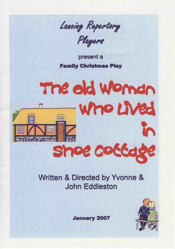Lancing Repertory

Players

present a **Family Christmas Play** 

# The old Woman Who Lived shoe cottage

## Written & Directed by Yvonne & **John Eddleston**



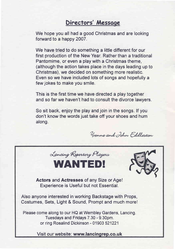### Directors' Messoge

We hope you all had a good Christmas and are looking forward to a happy 2007.

We have tried to do something a little different for our first production of the New Year. Rather than a traditional Pantomime, or even a play with a Christmas theme, (although the action takes place in the days leading up to Christmas), we decided on something more realistic. Even so we have included lots of songs and hopefully a few jokes to make you smile.

This is the first time we have directed a play together and so far we haven't had to consult the divorce lawyers.

So sit back, enjoy the play and join in the songs. lf you don't know the words just take off your shoes and hum along.

Yvonne and John Eddlerton





Actors and Actresses of any Size or Age! Experience is Useful but not Essential.

Also anyone interested in working Backstage with Props, Costumes, Sets, Light & Sound, Prompt and much more!

Please come along to our HQ at Wembley Gardens, Lancing. Tuesdays and Fridays 7.30 - 9.30pm. or ring Rosalind Dickinson - 01903 521221

Visit our website: www.lancinqrep.co.uk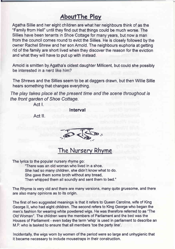#### AboutThe Play

Agatha Sillie and her eight children are what her neighbours think of as the "Family from Hell" until they find out that things could be much worse. The Sillies have been tenants in Shoe Cottage for many years, but now a man from the council comes round to evict the Sillies. He is closely followed by the owner Rachel Shrew and her son Arnold. The neighbours euphoria at getting rid of the family are short lived when they discover the reason for the eviction and what they will have to put up with instead.

Arnold is smitten by Agatha's oldest daughter Millicent, but could she possibly be interested in a nerd like him?

The Shrews and the Sillies seem to be at daggers drawn, but then Willie Sillie hears something that changes everything.

The play takes place at the present time and the scene throughout is the front garden of Shoe Coftage.

Act l.

Interual

Act ll.



The Nursery Rhyme

The lyrics to the popular nursery rhyme go:

"There was an old woman who lived in a shoe. She had so many children, she didn't know what to do. She gave them some broth without any bread, Then whipped them all soundly and sent them to bed."

The Rhyme is very old and there are many versions, many quite gruesome, and there are also many opinions as to its origin.

The first of two suggested meanings is that it refers to Queen Caroline, wife of King George ll, who had eight children. The second refers to King George who began the men's fashion for wearing white powdered wigs. He was therefore referred to as "The Old Woman". The children were the members of Parliament and the bed was the Houses of Parliament - even today the term 'whip' is used in parliament to describe an M.P. who is tasked to ensure that all members'toe the party line',

lncidentally, the wigs worn by women of the period were so large and unhygienic that it became necessary to include mousetraps in their construction,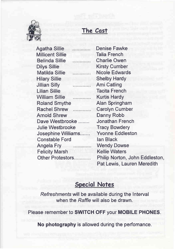

#### The Cost

Agatha Sillie Millicent Sillie Belinda Sillie Dilys Sillie Matilda Sillie Hilary Sillie Jillian Silly Lilian Sillie William Sillie Roland Smythe Rachel Shrew Arnold Shrew Dave Westbrooke ........ Julie Westbrooke Josephine Williams....... Constable Ford Angela Fry Felicity Marsh Other Protestors

Denise Fawke Talia French Charlie Owen Kirsty Cumber Nicole Edwards Shelby Hardy Ami Catling Tacita French Kurtis Hardy Alan Springham Carolyn Cumber Danny Robb Jonathan French Tracy Bowdery Yvonne Eddleston lan Black Wendy Dowse Kellie Waters Philip Norton, John Eddleston, Pat Lewis. Lauren Meredith

#### Speciol Notes

Refreshmenfs will be available during the Interval when the Raffle will also be drawn.

Please remember to SWITCH OFF your MOBILE PHONES.

No photography is allowed during the perfomance.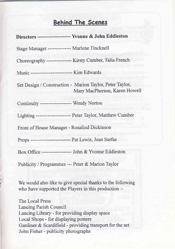#### Behind The Scenes

|                                                         | Directors --------------------- Yvonne & John Eddleston                                   |
|---------------------------------------------------------|-------------------------------------------------------------------------------------------|
| Stage Manager -------------- Marlene Tincknell          |                                                                                           |
|                                                         | Choreography --------------- Kirsty Cumber, Talia French                                  |
| Music -------------------------- Kim Edwards            |                                                                                           |
|                                                         | Set Design / Construction - Marion Taylor, Peter Taylor,<br>Mary MacPherson, Karen Howell |
| Continuity ------------------- Wendy Norton             |                                                                                           |
|                                                         | Lighting ---------------------- Peter Taylor, Matthew Cumber                              |
| Front of House Manager - Rosalind Dickinson             |                                                                                           |
| Props -------------------------- Pat Lewis, Jean Sarfas |                                                                                           |
|                                                         | Box Office ------------------- John & Yvonne Eddleston                                    |

Publicity / Programmes --- Peter & Marion Taylor

We would also like to give special thanks to the following who have supported the Players in this production :-

The Local Press Lancing Parish Council Lancing Library - for providing display space Local Shops - for displaying posters Gardiner & Scardifield - providing transport for the set John Fisher - publicity photographs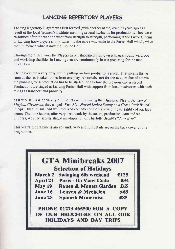#### **LANCING REPERTORY PLAYERS**

Lancing Repertory Players was first formed (with another name) over 70 years ago as a result of the local Women's lnstitute enrolling several husbands for productions. They were re-formed after the war and went from strength to strength, performing at the Luxor Cinema in Lancing (now a cycle shop). Later on, the move was made to the Parish Hall which, when rebuilt, formed what is now the Jubilee Hall,

Through their hard work the Players have established their own rehearsal room, wardrobe and workshop facilities in Lancing that are continuously in use preparing for the next production.

The Players are a very busy group, putting on four productions ayear. That means that as soon as the set is taken down from one play, rehearsals start for the next, in fact of course the planning for a production has to be started long before the previous one is staged. Productions are staged at Lancing Parish Hall with support from local businesses with such things as transport and publicity.

Last year saw a wide variety of productions. Following the Christmas Play in January,  $\vec{A}$ Magical Christmas, they staged "Five Blue Haired Ladies Sitting on a Green Park Bench" in April, this unusual and well received comedy certainly showed the versatility of our lady actors. Then in October, after very hard work by the actors, production team and set builders, we successfully staged an adaptation of Charlotte Brontë's "Jane Eyre".

This year's programme is already underway and full details are on the back cover of this programme.

|                 | <b>GTA Minibreaks 2007</b>                                                                          |      |
|-----------------|-----------------------------------------------------------------------------------------------------|------|
|                 | <b>Selection of Holidays</b>                                                                        |      |
|                 | <b>March 2 Swinging 60s weekend</b>                                                                 | £125 |
| <b>April 21</b> | Paris - Da Vinci Code                                                                               | £94  |
| <b>May 19</b>   | <b>Rouen &amp; Monets Garden</b>                                                                    | £65  |
| <b>June 16</b>  | Leuven & Mechelen                                                                                   | £68  |
| <b>June 28</b>  | <b>Spanish Minicruise</b>                                                                           | £85  |
|                 | <b>PHONE 01273 465500 FOR A COPY</b><br>OF OUR BROCHURE ON ALL OUR<br><b>HOLIDAYS AND DAY TRIPS</b> |      |